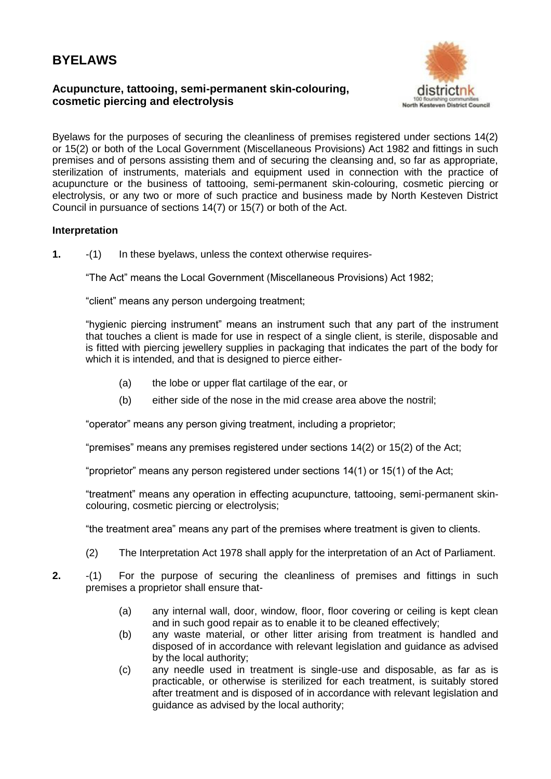## **BYELAWS**

## **Acupuncture, tattooing, semi-permanent skin-colouring, cosmetic piercing and electrolysis**



Byelaws for the purposes of securing the cleanliness of premises registered under sections 14(2) or 15(2) or both of the Local Government (Miscellaneous Provisions) Act 1982 and fittings in such premises and of persons assisting them and of securing the cleansing and, so far as appropriate, sterilization of instruments, materials and equipment used in connection with the practice of acupuncture or the business of tattooing, semi-permanent skin-colouring, cosmetic piercing or electrolysis, or any two or more of such practice and business made by North Kesteven District Council in pursuance of sections 14(7) or 15(7) or both of the Act.

## **Interpretation**

**1.** -(1) In these byelaws, unless the context otherwise requires-

"The Act" means the Local Government (Miscellaneous Provisions) Act 1982;

"client" means any person undergoing treatment;

"hygienic piercing instrument" means an instrument such that any part of the instrument that touches a client is made for use in respect of a single client, is sterile, disposable and is fitted with piercing jewellery supplies in packaging that indicates the part of the body for which it is intended, and that is designed to pierce either-

- (a) the lobe or upper flat cartilage of the ear, or
- (b) either side of the nose in the mid crease area above the nostril;

"operator" means any person giving treatment, including a proprietor;

"premises" means any premises registered under sections 14(2) or 15(2) of the Act;

"proprietor" means any person registered under sections 14(1) or 15(1) of the Act;

"treatment" means any operation in effecting acupuncture, tattooing, semi-permanent skincolouring, cosmetic piercing or electrolysis;

"the treatment area" means any part of the premises where treatment is given to clients.

- (2) The Interpretation Act 1978 shall apply for the interpretation of an Act of Parliament.
- **2.** -(1) For the purpose of securing the cleanliness of premises and fittings in such premises a proprietor shall ensure that-
	- (a) any internal wall, door, window, floor, floor covering or ceiling is kept clean and in such good repair as to enable it to be cleaned effectively;
	- (b) any waste material, or other litter arising from treatment is handled and disposed of in accordance with relevant legislation and guidance as advised by the local authority;
	- (c) any needle used in treatment is single-use and disposable, as far as is practicable, or otherwise is sterilized for each treatment, is suitably stored after treatment and is disposed of in accordance with relevant legislation and guidance as advised by the local authority;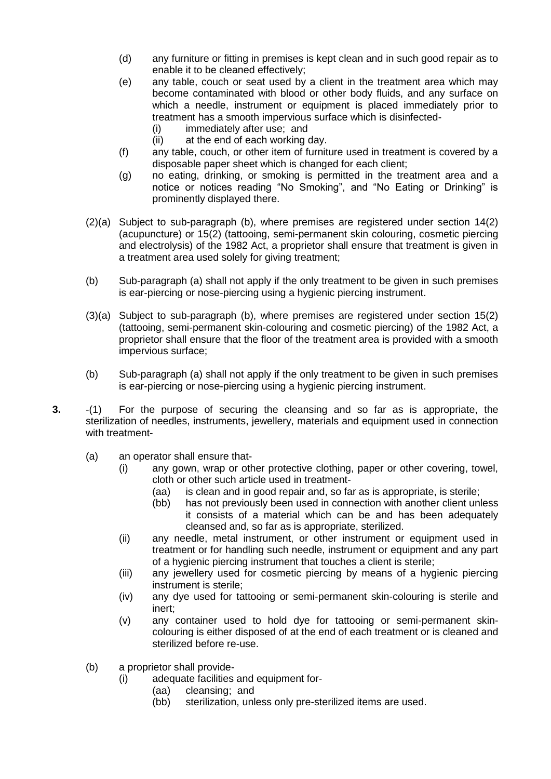- (d) any furniture or fitting in premises is kept clean and in such good repair as to enable it to be cleaned effectively;
- (e) any table, couch or seat used by a client in the treatment area which may become contaminated with blood or other body fluids, and any surface on which a needle, instrument or equipment is placed immediately prior to treatment has a smooth impervious surface which is disinfected-
	- (i) immediately after use; and
	- (ii) at the end of each working day.
- (f) any table, couch, or other item of furniture used in treatment is covered by a disposable paper sheet which is changed for each client;
- (g) no eating, drinking, or smoking is permitted in the treatment area and a notice or notices reading "No Smoking", and "No Eating or Drinking" is prominently displayed there.
- (2)(a) Subject to sub-paragraph (b), where premises are registered under section 14(2) (acupuncture) or 15(2) (tattooing, semi-permanent skin colouring, cosmetic piercing and electrolysis) of the 1982 Act, a proprietor shall ensure that treatment is given in a treatment area used solely for giving treatment;
- (b) Sub-paragraph (a) shall not apply if the only treatment to be given in such premises is ear-piercing or nose-piercing using a hygienic piercing instrument.
- (3)(a) Subject to sub-paragraph (b), where premises are registered under section 15(2) (tattooing, semi-permanent skin-colouring and cosmetic piercing) of the 1982 Act, a proprietor shall ensure that the floor of the treatment area is provided with a smooth impervious surface;
- (b) Sub-paragraph (a) shall not apply if the only treatment to be given in such premises is ear-piercing or nose-piercing using a hygienic piercing instrument.
- **3.** -(1) For the purpose of securing the cleansing and so far as is appropriate, the sterilization of needles, instruments, jewellery, materials and equipment used in connection with treatment-
	- (a) an operator shall ensure that-
		- (i) any gown, wrap or other protective clothing, paper or other covering, towel, cloth or other such article used in treatment-
			- (aa) is clean and in good repair and, so far as is appropriate, is sterile;
			- (bb) has not previously been used in connection with another client unless it consists of a material which can be and has been adequately cleansed and, so far as is appropriate, sterilized.
		- (ii) any needle, metal instrument, or other instrument or equipment used in treatment or for handling such needle, instrument or equipment and any part of a hygienic piercing instrument that touches a client is sterile;
		- (iii) any jewellery used for cosmetic piercing by means of a hygienic piercing instrument is sterile;
		- (iv) any dye used for tattooing or semi-permanent skin-colouring is sterile and inert;
		- (v) any container used to hold dye for tattooing or semi-permanent skincolouring is either disposed of at the end of each treatment or is cleaned and sterilized before re-use.
	- (b) a proprietor shall provide-
		- (i) adequate facilities and equipment for-
			- (aa) cleansing; and
			- (bb) sterilization, unless only pre-sterilized items are used.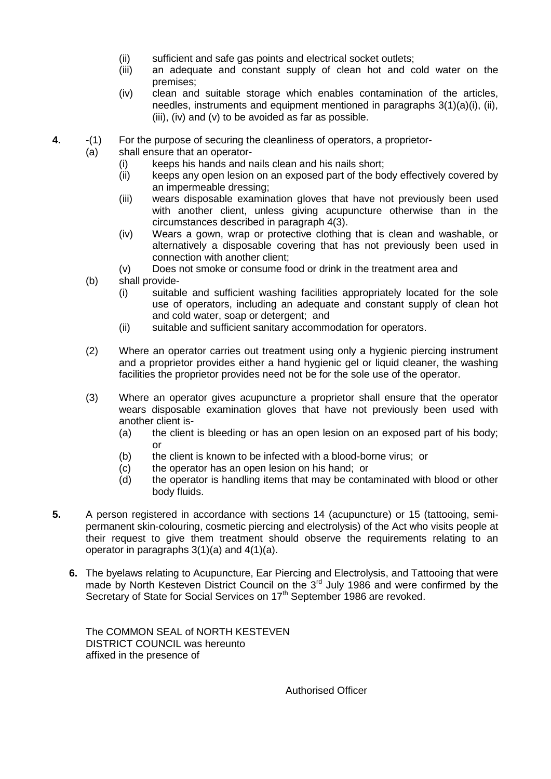- (ii) sufficient and safe gas points and electrical socket outlets;
- (iii) an adequate and constant supply of clean hot and cold water on the premises;
- (iv) clean and suitable storage which enables contamination of the articles, needles, instruments and equipment mentioned in paragraphs 3(1)(a)(i), (ii), (iii), (iv) and (v) to be avoided as far as possible.
- **4.** -(1) For the purpose of securing the cleanliness of operators, a proprietor-
	- (a) shall ensure that an operator-
		- (i) keeps his hands and nails clean and his nails short;
		- (ii) keeps any open lesion on an exposed part of the body effectively covered by an impermeable dressing;
		- (iii) wears disposable examination gloves that have not previously been used with another client, unless giving acupuncture otherwise than in the circumstances described in paragraph 4(3).
		- (iv) Wears a gown, wrap or protective clothing that is clean and washable, or alternatively a disposable covering that has not previously been used in connection with another client;
		- (v) Does not smoke or consume food or drink in the treatment area and
		- (b) shall provide-
			- (i) suitable and sufficient washing facilities appropriately located for the sole use of operators, including an adequate and constant supply of clean hot and cold water, soap or detergent; and
			- (ii) suitable and sufficient sanitary accommodation for operators.
		- (2) Where an operator carries out treatment using only a hygienic piercing instrument and a proprietor provides either a hand hygienic gel or liquid cleaner, the washing facilities the proprietor provides need not be for the sole use of the operator.
		- (3) Where an operator gives acupuncture a proprietor shall ensure that the operator wears disposable examination gloves that have not previously been used with another client is-
			- (a) the client is bleeding or has an open lesion on an exposed part of his body; or
			- (b) the client is known to be infected with a blood-borne virus; or
			- (c) the operator has an open lesion on his hand; or
			- (d) the operator is handling items that may be contaminated with blood or other body fluids.
- **5.** A person registered in accordance with sections 14 (acupuncture) or 15 (tattooing, semipermanent skin-colouring, cosmetic piercing and electrolysis) of the Act who visits people at their request to give them treatment should observe the requirements relating to an operator in paragraphs 3(1)(a) and 4(1)(a).
	- **6.** The byelaws relating to Acupuncture, Ear Piercing and Electrolysis, and Tattooing that were made by North Kesteven District Council on the 3<sup>rd</sup> July 1986 and were confirmed by the Secretary of State for Social Services on 17<sup>th</sup> September 1986 are revoked.

The COMMON SEAL of NORTH KESTEVEN DISTRICT COUNCIL was hereunto affixed in the presence of

Authorised Officer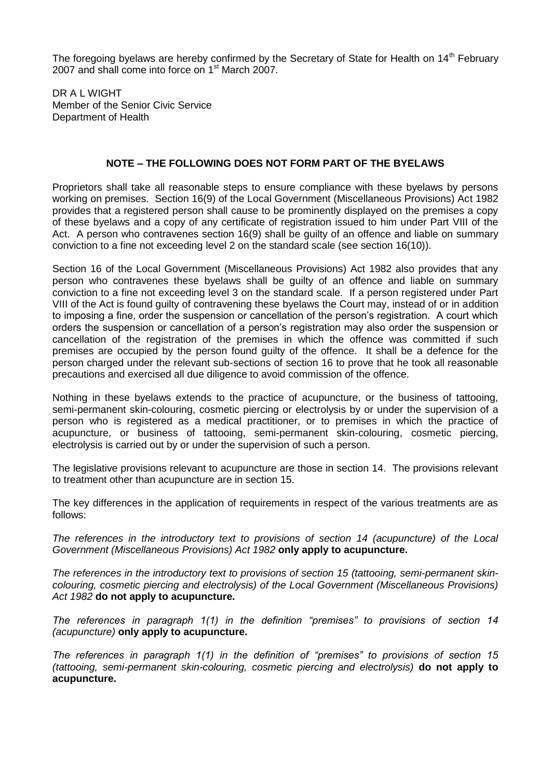The foregoing byelaws are hereby confirmed by the Secretary of State for Health on  $14<sup>th</sup>$  February 2007 and shall come into force on 1<sup>st</sup> March 2007.

DR A L WIGHT Member of the Senior Civic Service Department of Health

## **NOTE – THE FOLLOWING DOES NOT FORM PART OF THE BYELAWS**

Proprietors shall take all reasonable steps to ensure compliance with these byelaws by persons working on premises. Section 16(9) of the Local Government (Miscellaneous Provisions) Act 1982 provides that a registered person shall cause to be prominently displayed on the premises a copy of these byelaws and a copy of any certificate of registration issued to him under Part VIII of the Act. A person who contravenes section 16(9) shall be guilty of an offence and liable on summary conviction to a fine not exceeding level 2 on the standard scale (see section 16(10)).

Section 16 of the Local Government (Miscellaneous Provisions) Act 1982 also provides that any person who contravenes these byelaws shall be guilty of an offence and liable on summary conviction to a fine not exceeding level 3 on the standard scale. If a person registered under Part VIII of the Act is found guilty of contravening these byelaws the Court may, instead of or in addition to imposing a fine, order the suspension or cancellation of the person's registration. A court which orders the suspension or cancellation of a person's registration may also order the suspension or cancellation of the registration of the premises in which the offence was committed if such premises are occupied by the person found guilty of the offence. It shall be a defence for the person charged under the relevant sub-sections of section 16 to prove that he took all reasonable precautions and exercised all due diligence to avoid commission of the offence.

Nothing in these byelaws extends to the practice of acupuncture, or the business of tattooing, semi-permanent skin-colouring, cosmetic piercing or electrolysis by or under the supervision of a person who is registered as a medical practitioner, or to premises in which the practice of acupuncture, or business of tattooing, semi-permanent skin-colouring, cosmetic piercing, electrolysis is carried out by or under the supervision of such a person.

The legislative provisions relevant to acupuncture are those in section 14. The provisions relevant to treatment other than acupuncture are in section 15.

The key differences in the application of requirements in respect of the various treatments are as follows:

*The references in the introductory text to provisions of section 14 (acupuncture) of the Local Government (Miscellaneous Provisions) Act 1982* **only apply to acupuncture.**

*The references in the introductory text to provisions of section 15 (tattooing, semi-permanent skincolouring, cosmetic piercing and electrolysis) of the Local Government (Miscellaneous Provisions) Act 1982* **do not apply to acupuncture.**

*The references in paragraph 1(1) in the definition "premises" to provisions of section 14 (acupuncture)* **only apply to acupuncture.**

*The references in paragraph 1(1) in the definition of "premises" to provisions of section 15 (tattooing, semi-permanent skin-colouring, cosmetic piercing and electrolysis)* **do not apply to acupuncture.**